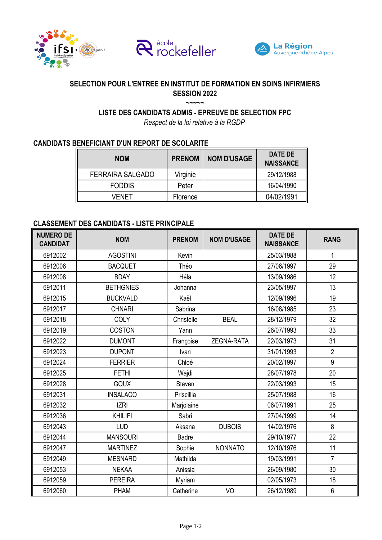





## **SELECTION POUR L'ENTREE EN INSTITUT DE FORMATION EN SOINS INFIRMIERS SESSION 2022 ~~~~~**

**LISTE DES CANDIDATS ADMIS - EPREUVE DE SELECTION FPC**

*Respect de la loi relative à la RGDP*

## **CANDIDATS BENEFICIANT D'UN REPORT DE SCOLARITE**

| <b>NOM</b>              | <b>PRENOM</b> | <b>NOM D'USAGE</b> | DATE DE<br><b>NAISSANCE</b> |
|-------------------------|---------------|--------------------|-----------------------------|
| <b>FERRAIRA SALGADO</b> | Virginie      |                    | 29/12/1988                  |
| <b>FODDIS</b>           | Peter         |                    | 16/04/1990                  |
| VFNFT                   | Florence      |                    | 04/02/1991                  |

## **CLASSEMENT DES CANDIDATS - LISTE PRINCIPALE**

| <b>NUMERO DE</b><br><b>CANDIDAT</b> | <b>NOM</b>       | <b>PRENOM</b> | <b>NOM D'USAGE</b> | <b>DATE DE</b><br><b>NAISSANCE</b> | <b>RANG</b>    |
|-------------------------------------|------------------|---------------|--------------------|------------------------------------|----------------|
| 6912002                             | <b>AGOSTINI</b>  | Kevin         |                    | 25/03/1988                         | 1              |
| 6912006                             | <b>BACQUET</b>   | Théo          |                    | 27/06/1997                         | 29             |
| 6912008                             | <b>BDAY</b>      | Héla          |                    | 13/09/1986                         | 12             |
| 6912011                             | <b>BETHGNIES</b> | Johanna       |                    | 23/05/1997                         | 13             |
| 6912015                             | <b>BUCKVALD</b>  | Kaël          |                    | 12/09/1996                         | 19             |
| 6912017                             | <b>CHNARI</b>    | Sabrina       |                    | 16/08/1985                         | 23             |
| 6912018                             | <b>COLY</b>      | Christelle    | <b>BEAL</b>        | 28/12/1979                         | 32             |
| 6912019                             | <b>COSTON</b>    | Yann          |                    | 26/07/1993                         | 33             |
| 6912022                             | <b>DUMONT</b>    | Françoise     | ZEGNA-RATA         | 22/03/1973                         | 31             |
| 6912023                             | <b>DUPONT</b>    | Ivan          |                    | 31/01/1993                         | $\overline{2}$ |
| 6912024                             | <b>FERRIER</b>   | Chloé         |                    | 20/02/1997                         | 9              |
| 6912025                             | <b>FETHI</b>     | Wajdi         |                    | 28/07/1978                         | 20             |
| 6912028                             | <b>GOUX</b>      | Steven        |                    | 22/03/1993                         | 15             |
| 6912031                             | <b>INSALACO</b>  | Priscillia    |                    | 25/07/1988                         | 16             |
| 6912032                             | <b>IZRI</b>      | Marjolaine    |                    | 06/07/1991                         | 25             |
| 6912036                             | <b>KHILIFI</b>   | Sabri         |                    | 27/04/1999                         | 14             |
| 6912043                             | LUD              | Aksana        | <b>DUBOIS</b>      | 14/02/1976                         | 8              |
| 6912044                             | <b>MANSOURI</b>  | <b>Badre</b>  |                    | 29/10/1977                         | 22             |
| 6912047                             | <b>MARTINEZ</b>  | Sophie        | <b>NONNATO</b>     | 12/10/1976                         | 11             |
| 6912049                             | <b>MESNARD</b>   | Mathilda      |                    | 19/03/1991                         | $\overline{7}$ |
| 6912053                             | <b>NEKAA</b>     | Anissia       |                    | 26/09/1980                         | 30             |
| 6912059                             | <b>PEREIRA</b>   | Myriam        |                    | 02/05/1973                         | 18             |
| 6912060                             | <b>PHAM</b>      | Catherine     | VO                 | 26/12/1989                         | 6              |